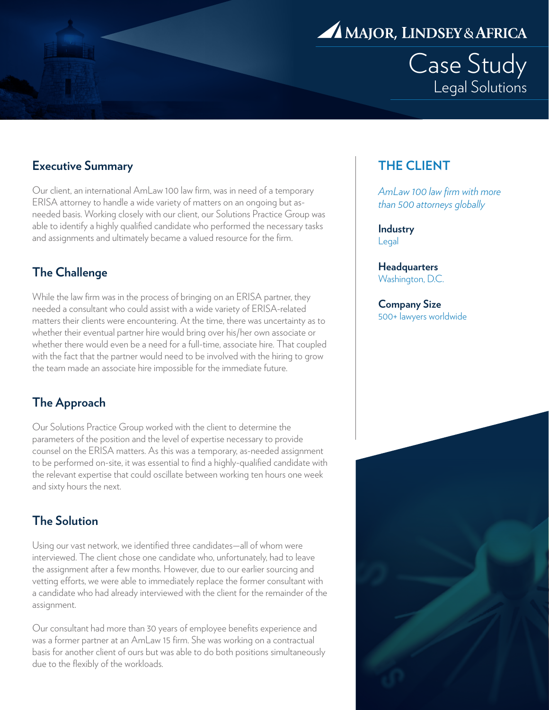

Case Study Legal Solutions

### **Executive Summary**

Our client, an international AmLaw 100 law firm, was in need of a temporary ERISA attorney to handle a wide variety of matters on an ongoing but asneeded basis. Working closely with our client, our Solutions Practice Group was able to identify a highly qualified candidate who performed the necessary tasks and assignments and ultimately became a valued resource for the firm.

### **The Challenge**

While the law firm was in the process of bringing on an ERISA partner, they needed a consultant who could assist with a wide variety of ERISA-related matters their clients were encountering. At the time, there was uncertainty as to whether their eventual partner hire would bring over his/her own associate or whether there would even be a need for a full-time, associate hire. That coupled with the fact that the partner would need to be involved with the hiring to grow the team made an associate hire impossible for the immediate future.

### **The Approach**

Our Solutions Practice Group worked with the client to determine the parameters of the position and the level of expertise necessary to provide counsel on the ERISA matters. As this was a temporary, as-needed assignment to be performed on-site, it was essential to find a highly-qualified candidate with the relevant expertise that could oscillate between working ten hours one week and sixty hours the next.

### **The Solution**

Using our vast network, we identified three candidates—all of whom were interviewed. The client chose one candidate who, unfortunately, had to leave the assignment after a few months. However, due to our earlier sourcing and vetting efforts, we were able to immediately replace the former consultant with a candidate who had already interviewed with the client for the remainder of the assignment.

Our consultant had more than 30 years of employee benefits experience and was a former partner at an AmLaw 15 firm. She was working on a contractual basis for another client of ours but was able to do both positions simultaneously due to the flexibly of the workloads.

## **THE CLIENT**

*AmLaw 100 law firm with more than 500 attorneys globally*

**Industry** Legal

**Headquarters** Washington, D.C.

**Company Size** 500+ lawyers worldwide